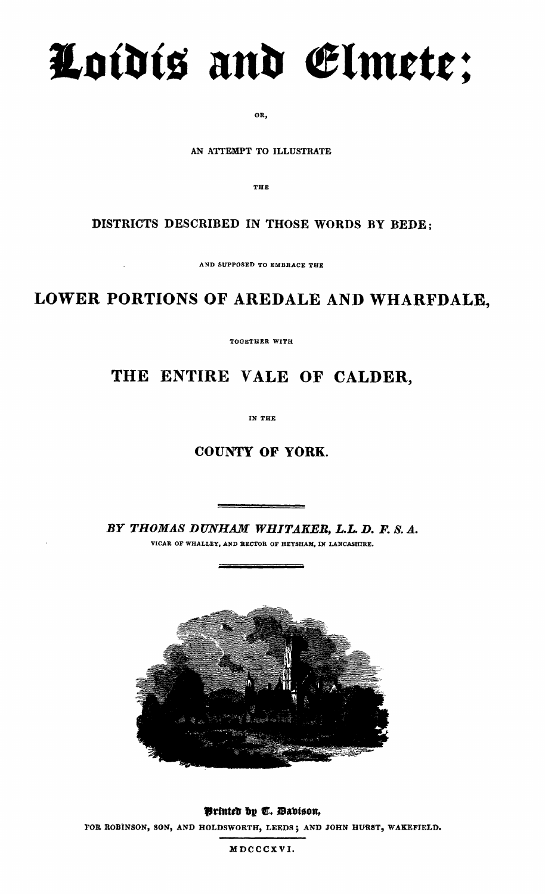# **Loidis and elmete;**

**OR,**

**AN ATTEMPT TO ILLUSTRATE**

**THE**

#### **DISTRICTS DESCRIBED IN THOSE WORDS BY BEDE;**

**AND SUPPOSED TO EMBRACE THE**

## **LOWER PORTIONS OF AREDALE AND WHARFDALE,**

**TOGETHER WITH**

### **THE ENTIRE YALE OF CALDER,**

**IN THE**

#### **COUNTY OF YORK.**

*BY THOMAS DUNHAM WHITAKER, L.L. D. F. S. A.* **VICAR OF WHALLEY, AND RECTOR OF HEYSHAM, IN LANCASHIRE.**



**Printed by T. Davidson, FOR ROBINSON, SON, AND HOLDSWORTH, LEEDS ; AND JOHN HURST, WAKEFIELD.**

**MDCCCX VI.**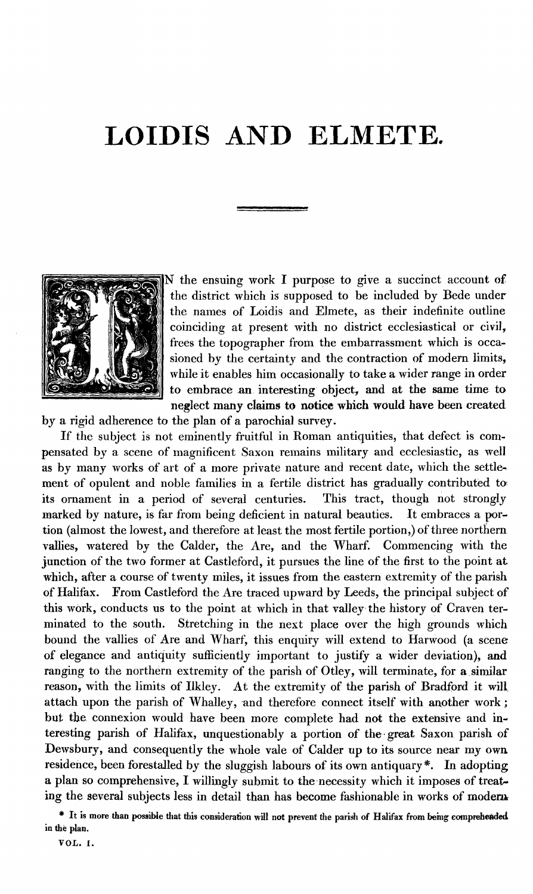# **LOIDIS AND ELMETE.**



 N the ensuing work I purpose to give a succinct account of the district which is supposed to be included by Bede under the names of Loidis and Elmete, as their indefinite outline coinciding at present with no district ecclesiastical or civil, frees the topographer from the embarrassment which is occasioned by the certainty and the contraction of modern limits, while it enables him occasionally to take a wider range in order to embrace an interesting object, and at the same time to neglect many claims to notice which would have been created

by a rigid adherence to the plan of a parochial survey.

If the subject is not eminently fruitful in Roman antiquities, that defect is compensated by a scene of magnificent Saxon remains military and ecclesiastic, as well as by many works of art of a more private nature and recent date, which the settlement of opulent and noble families in a fertile district has gradually contributed to: its ornament in a period of several centuries. This tract, though not strongly marked by nature, is far from being deficient in natural beauties. It embraces a portion (almost the lowest, and therefore at least the most fertile portion,) of three northern vallies, watered by the Calder, the Are, and the Wharf. Commencing with the junction of the two former at Castleford, it pursues the line of the first to the point at which, after a course of twenty miles, it issues from the eastern extremity of the parish of Halifax. From Castleford the Are traced upward by Leeds, the principal subject of this work, conducts us to the point at which in that valley. the history of Craven terminated to the south. Stretching in the next place over the high grounds which bound the vallies of Are and Wharf, this enquiry will extend to Harwood (a scene of elegance and antiquity sufficiently important to justify a wider deviation), and ranging to the northern extremity of the parish of Otley, will terminate, for a similar reason, with the limits of Ilkley. At the extremity of the parish of Bradford it will attach upon the parish of Whalley, and therefore connect itself with another work ; but the connexion would have been more complete had not the extensive and interesting parish of Halifax, unquestionably a portion of the- great Saxon parish of Dewsbury, and consequently the whole vale of Calder up to its source near my own residence, been forestalled by the sluggish labours of its own antiquary\*. In adopting a plan so comprehensive, I willingly submit to the necessity which it imposes of treating the several subjects less in detail than has become fashionable in works of modern

<sup>\*</sup> **It is more than possible that this consideration will not prevent the parish of Halifax from being comprehended. in the plan.**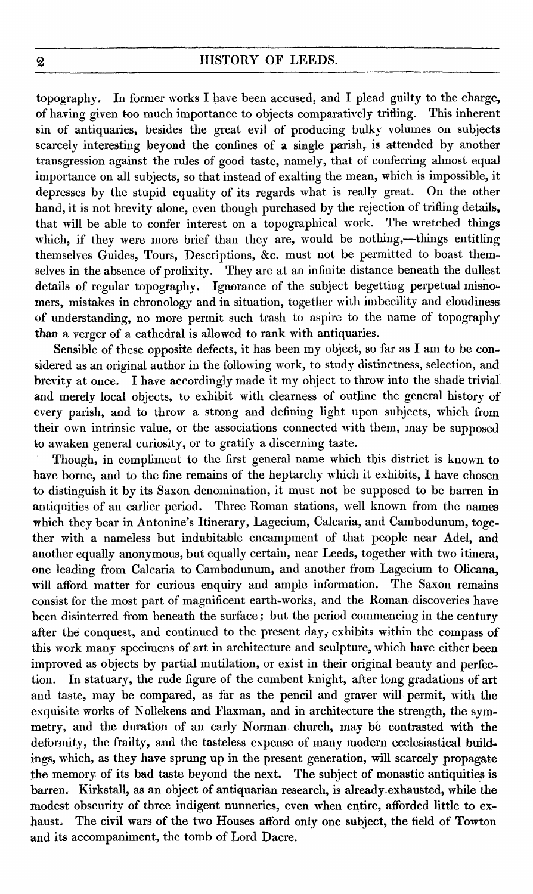topography. In former works I have been accused, and I plead guilty to the charge, of having given too much importance to objects comparatively trifling. This inherent sin of antiquaries, besides the great evil of producing bulky volumes on subjects scarcely interesting beyond the confines of a single parish, is attended by another transgression against the rules of good taste, namely, that of conferring almost equal importance on all subjects, so that instead of exalting the mean, which is impossible, it depresses by the stupid equality of its regards what is really great. On the other hand, it is not brevity alone, even though purchased by the rejection of trifling details, that will be able to confer interest on a topographical work. The wretched things which, if they were more brief than they are, would be nothing,—things entitling themselves Guides, Tours, Descriptions, &c. must not be permitted to boast themselves in the absence of prolixity. They are at an infinite distance beneath the dullest details of regular topography. Ignorance of the subject begetting perpetual misnomers, mistakes in chronology and in situation, together with imbecility and cloudiness of understanding, no more permit such trash to aspire to the name of topography than a verger of a cathedral is allowed to rank with antiquaries.

Sensible of these opposite defects, it has been my object, so far as I am to be considered as an original author in the following work, to study distinctness, selection, and brevity at once. I have accordingly made it my object to throw into the shade trivial. and merely local objects, to exhibit with clearness of outline the general history of every parish, and to throw a strong and defining light upon subjects, which from their own intrinsic value, or the associations connected with them, may be supposed to awaken general curiosity, or to gratify a discerning taste.

Though, in compliment to the first general name which this district is known to have borne, and to the fine remains of the heptarchy which it exhibits, I have chosen to distinguish it by its Saxon denomination, it must not be supposed to be barren in antiquities of an earlier period. Three Roman stations, well known from the names which they bear in Antonine's Itinerary, Lagecium, Calcaria, and Cambodunum, together with a nameless but indubitable encampment of that people near Adel, and another equally anonymous, but equally certain, near Leeds, together with two itinera, one leading from Calcaria to Cambodunum, and another from Lagecium to Olicana, will afford matter for curious enquiry and ample information. The Saxon remains consist for the most part of magnificent earth-works, and the Roman discoveries have been disinterred from beneath the surface ; but the period commencing in the century after the conquest, and continued to the present day, exhibits within the compass of this work many specimens of art in architecture and sculpture, which have either been improved as objects by partial mutilation, or exist in their original beauty and perfection. In statuary, the rude figure of the cumbent knight, after long gradations of art and taste, may be compared, as far as the pencil and graver will permit, with the exquisite works of Nollekens and Flaxman, and in architecture the strength, the symmetry, and the duration of an early Norman, church, may be contrasted with the deformity, the frailty, and the tasteless expense of many modern ecclesiastical buildings, which, as they have sprung up in the present generation, will scarcely propagate the memory of its bad taste beyond the next. The subject of monastic antiquities is barren. Kirkstall, as an object of antiquarian research, is already exhausted, while the modest obscurity of three indigent nunneries, even when entire, afforded little to exhaust. The civil wars of the two Houses afford only one subject, the field of Towton and its accompaniment, the tomb of Lord Dacre.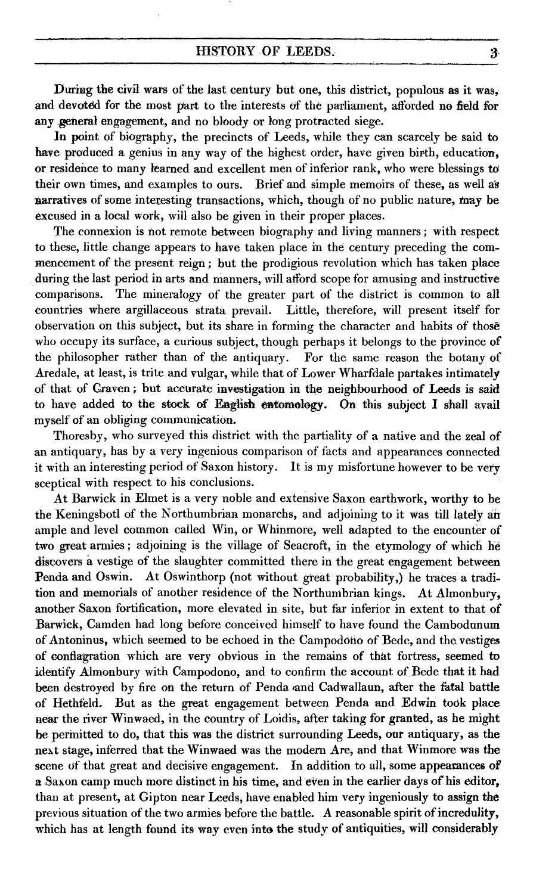#### HISTORY OF LEEDS.

During the civil wars of the last century but one, this district, populous as it was, and devoted for the most part to the interests of the parliament, afforded no field for any general engagement, and no bloody or long protracted siege.

In point of biography, the precincts of Leeds, while they can scarcely be said to have produced a genius in any way of the highest order, have given birth, education, or residence to many learned and excellent men of inferior rank, who were blessings to their own times, and examples to ours. Brief and simple memoirs of these, as well as narratives of some interesting transactions, which, though of no public nature, may be excused in a local work, will also be given in their proper places.

The connexion is not remote between biography and living manners ; with respect to these, little change appears to have taken place in the century preceding the commencement of the present reign ; but the prodigious revolution which has taken place during the last period in arts and manners, will afford scope for amusing and instructive comparisons. The mineralogy of the greater part of the district is common to all countries where argillaceous strata prevail. Little, therefore, will present itself for observation on this subject, but its share in forming the character and habits of those who occupy its surface, a curious subject, though perhaps it belongs to the province of the philosopher rather than of the antiquary. For the same reason the botany of Aredale, at least, is trite and vulgar, while that of Lower Wharfdale partakes intimately of that of Craven ; but accurate investigation in the neighbourhood of Leeds is said to have added to the stock of English entomology. On this subject I shall avail myself of an obliging communication.

Thoresby, who surveyed this district with the partiality of a native and the zeal of an antiquary, has by a very ingenious comparison of facts and appearances connected it with an interesting period of Saxon history. It is my misfortune however to be very sceptical with respect to his conclusions.

At Barwick in Elmet is a very noble and extensive Saxon earthwork, worthy to be the Keningsbotl of the Northumbrian monarchs, and adjoining to it was till lately air ample and level common called Win, or Whinmore, well adapted to the encounter of two great armies ; adjoining is the village of Seacroft, in the etymology of which he discovers a vestige of the slaughter committed there in the great engagement between Penda and Oswin. At Oswinthorp (not without great probability,) he traces a tradition and memorials of another residence of the Northumbrian kings. At Almonbury, another Saxon fortification, more elevated in site, but far inferior in extent to that of Barwick, Camden had long before conceived himself to have found the Cambodunum of Antoninus, which seemed to be echoed in the Campodono of Bede, and the vestiges of conflagration which are very obvious in the remains of that fortress, seemed to identify Almonbury with Campodono, and to confirm the account of Bede that it had been destroyed by fire on the return of Penda and Cadwallaun, after the fatal battle of Hethfeld. But as the great engagement between Penda and Edwin took place near the river Winwaed, in the country of Loidis, after taking for granted, as he might be permitted to do, that this was the district surrounding Leeds, our antiquary, as the next stage, inferred that the Winwaed was the modern Are, and that Winmore was the scene of that great and decisive engagement. In addition to all, some appearances of **a** Saxon camp much more distinct in his time, and even in the earlier days of his editor, than at present, at Gipton near Leeds, have enabled him very ingeniously to assign **the** previous situation of the two armies before the battle. A reasonable spirit of incredulity, which has at length found its way even into the study of antiquities, will considerably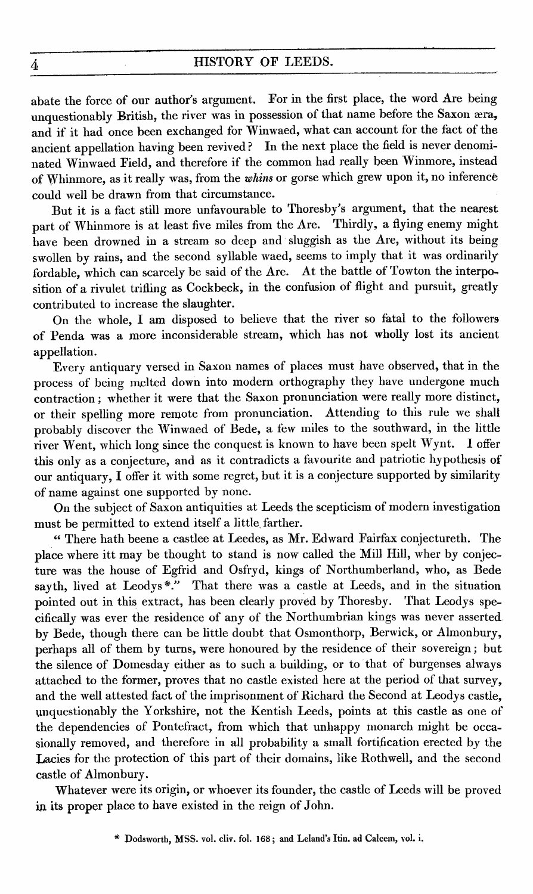abate the force of our author's argument. For in the first place, the word Are being unquestionably British, the river was in possession of that name before the Saxon æra, and if it had once been exchanged for Winwaed, what can account for the fact of the ancient appellation having been revived ? In the next place the field is never denominated Winwaed Field, and therefore if the common had really been Winmore, instead of Whinmore, as it really was, from the *whins* or gorse which grew upon it, no inference could well be drawn from that circumstance.

But it is a fact still more unfavourable to Thoresby's argument, that the nearest part of Whinmore is at least five miles from the Are. Thirdly, a flying enemy might have been drowned in a stream so deep and sluggish as the Are, without its being swollen by rains, and the second syllable waed, seems to imply that it was ordinarily fordable, which can scarcely be said of the Are. At the battle of Towton the interposition of a rivulet trifling as Cockbeck, in the confusion of flight and pursuit, greatly contributed to increase the slaughter.

On the whole, I am disposed to believe that the river so fatal to the followers of Penda was a more inconsiderable stream, which has not wholly lost its ancient appellation.

Every antiquary versed in Saxon names of places must have observed, that in the process of being melted down into modern orthography they have undergone much contraction ; whether it were that the Saxon pronunciation were really more distinct, or their spelling more remote from pronunciation. Attending to this rule we shall probably discover the Winwaed of Bede, a few miles to the southward, in the little river Went, which long since the conquest is known to have been spelt Wynt. I offer this only as a conjecture, and as it contradicts a favourite and patriotic hypothesis of our antiquary, I offer it with some regret, but it is a conjecture supported by similarity of name against one supported by none.

On the subject of Saxon antiquities at Leeds the scepticism of modern investigation must be permitted to extend itself a little farther.

" There hath beene a castlee at Leedes, as Mr. Edward Fairfax conjectureth. The place where itt may be thought to stand is now called the Mill Hill, wher by conjecture was the house of Egfrid and Osfryd, kings of Northumberland, who, as Bede sayth, lived at Leodys\*." That there was a castle at Leeds, and in the situation pointed out in this extract, has been clearly proved by Thoresby. That Leodys specifically was ever the residence of any of the Northumbrian kings was never asserted . by Bede, though there can be little doubt that Osmonthorp, Berwick, or Almonbury, perhaps all of them by turns, were honoured by the residence of their sovereign ; but the silence of Domesday either as to such a building, or to that of burgenses always attached to the former, proves that no castle existed here at the period of that survey, and the well attested fact of the imprisonment of Richard the Second at Leodys castle, unquestionably the Yorkshire, not the Kentish Leeds, points at this castle as one of the dependencies of Pontefract, from which that unhappy monarch might be occasionally removed, and therefore in all probability a small fortification erected by the Lacies for the protection of this part of their domains, like Rothwell, and the second castle of Almonbury.

Whatever were its origin, or whoever its founder, the castle of Leeds will be proved in its proper place to have existed in the reign of John.

<sup>\*</sup> Dodsworth, MSS. vol. cliv. fol. **168 ;** and Leland's Itin. ad Calcem, vol. i.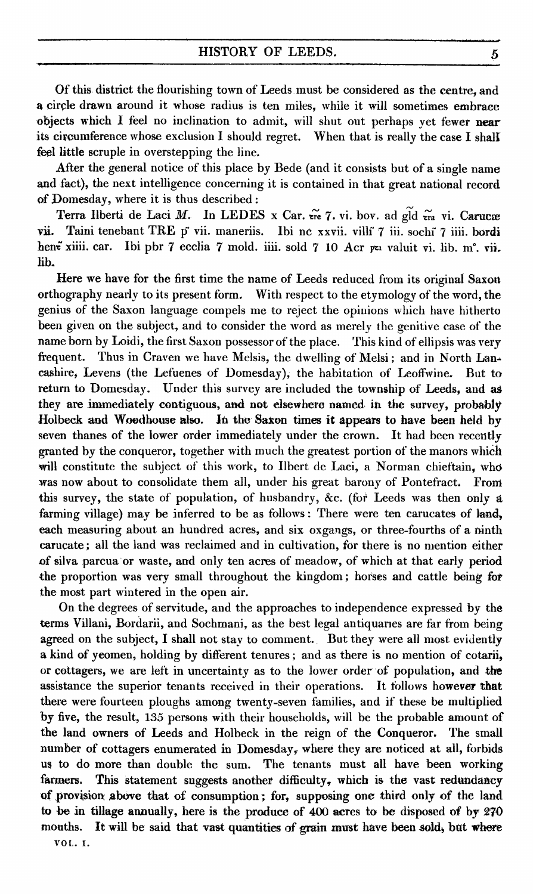Of this, district the flourishing town of Leeds must be considered as the centre, and a circle drawn around it whose radius is ten miles, while it will sometimes embrace objects which I feel no inclination to admit, will shut out perhaps yet fewer **near** its circumference whose exclusion I should regret. When that is really the case I shalt feel little scruple in overstepping the line.

After the general notice of this place by Bede (and it consists but of a single name and fact), the next intelligence concerning it is contained in that great national record **of** Domesday, where it is thus described :

Terra Ilberti de Laci *M.* In LEDES x Car.  $\tilde{er}$  7. vi. bov. ad gld  $\tilde{er}$  vi. Carucæ vii. Taini tenebant TRE p vii. maneriis. Ibi ne xxvii. villi 7 iii. sochi 7 iiii. bordi hen<del>e</del> xiiii. car. Ibi pbr 7 ecclia 7 mold. iiii. sold 7 10 Acr *pti valuit vi. lib.* m°. vii. lib.

Here we have for the first time the name of Leeds reduced from its original Saxon orthography nearly to its present form. With respect to the etymology of the word, the genius of the Saxon language compels me to reject the opinions which have hitherto been given on the subject, and to consider the word as merely the genitive case of the name born by Loidi, the first Saxon possessor of the place. This kind of ellipsis was very frequent. Thus in Craven we have Melsis, the dwelling of Melsi; and in North Lancashire, Levens (the Lefuenes of Domesday); the habitation of Leoffwine. But to return to Domesday. Under this survey are included the township of Leeds, and **as** they are immediately contiguous, **and not elsewhere named in. the survey, probably Holbeck and Woodhouse also. In the Saxon times it appears to have been held by** seven thanes of the lower order immediately under the crown. It had been recently granted by the conqueror, together with much the greatest portion of **the manors whiCh** will constitute the subject of this work, to Ilbert de Laci, a Norman chieftain, who was now about to consolidate them all, under his great barony of Pontefract. **From this survey,** the state of population, of husbandry, &c. (for Leeds was then only a farming village) may be inferred to be as follows : There were ten carucates of **land, each measuring about** an hundred acres, and six oxgangs, or three-fourths of a **ninth carucate; all the land was reclaimed and in cultivation, for there is no mention either of silva parcua or waste, and only ten acres of meadow, of which at that early period the proportion was very small throughout the kingdom ; horses and cattle being for the most part wintered in the open air.**

**On the** degrees of servitude, and the approaches to independence expressed by **the terms** Villani, Bordarii, and Sochmani, as the best legal antiquaries are far from being **agreed on** the subject, I shall not stay to comment. But they were all most **evidently a kind of yeomen, holding by different tenures ;** and as there is no mention of **cotarii, or cottagers, we are left in uncertainty as to the lower order of population, and the assistance the superior tenants received in their operations. It follows however that there were** fourteen ploughs among twenty-seven families, and if these be **multiplied by five, the result, 135 persons with their households, will be the probable amount of the land owners of Leeds and Holbeck in the reign of the Conqueror. The small number of cottagers enumerated in Domesday, where they are noticed at all, forbids us to do more than double the sum. The tenants must all have been working farmers. This statement suggests another difficulty, which is the vast redundancy of provision above that of consumption; for, supposing one third only of the land to be in tillage annually, here is the produce of 400 acres to be disposed of by 270 mouths. It will be said that vast quantities of grain must have been sold, bat where VOL. 1.**